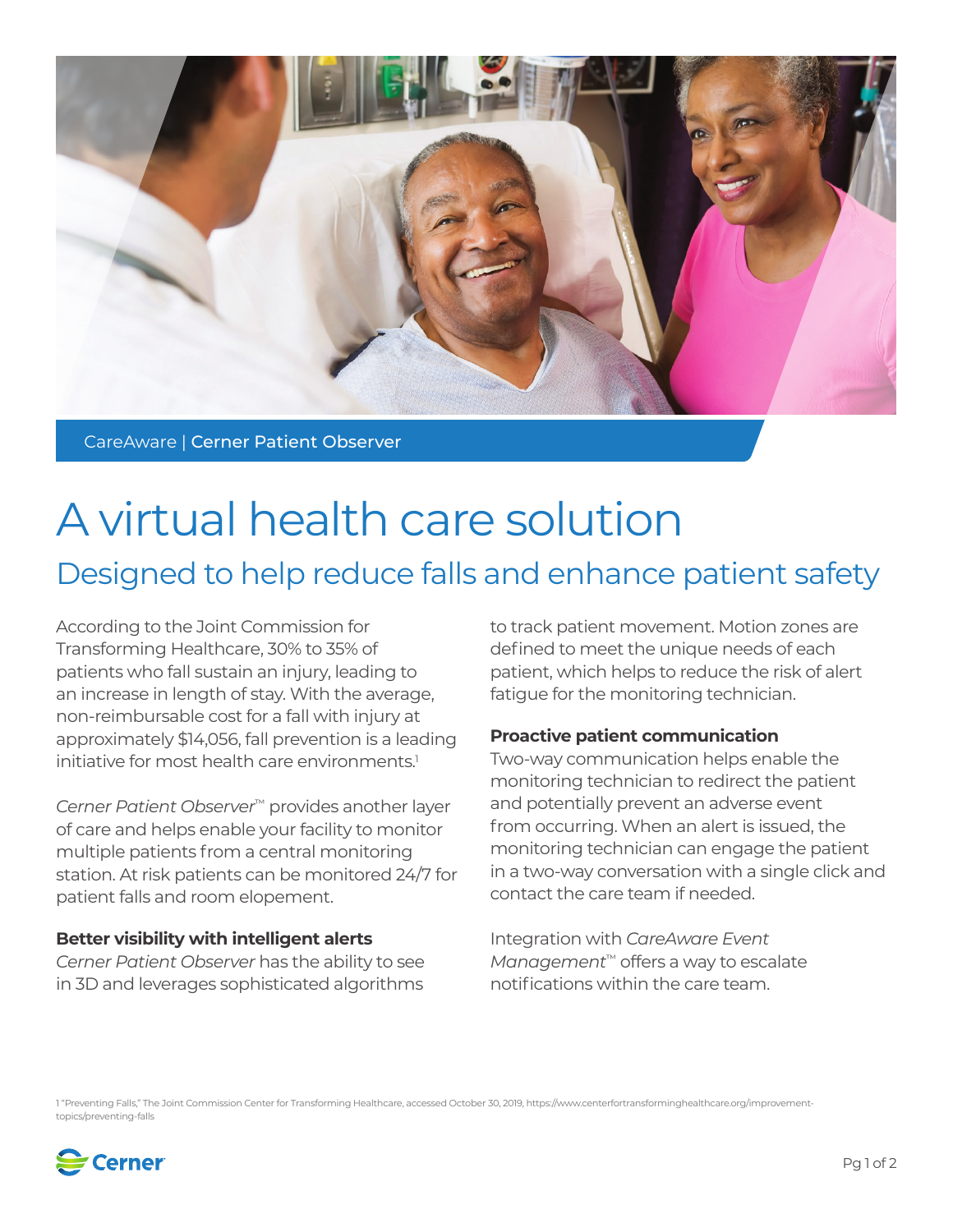

CareAware | Cerner Patient Observer

# A virtual health care solution Designed to help reduce falls and enhance patient safety

According to the Joint Commission for Transforming Healthcare, 30% to 35% of patients who fall sustain an injury, leading to an increase in length of stay. With the average, non-reimbursable cost for a fall with injury at approximately \$14,056, fall prevention is a leading initiative for most health care environments.<sup>1</sup>

*Cerner Patient Observer*™ provides another layer of care and helps enable your facility to monitor multiple patients from a central monitoring station. At risk patients can be monitored 24/7 for patient falls and room elopement.

### **Better visibility with intelligent alerts**

*Cerner Patient Observer* has the ability to see in 3D and leverages sophisticated algorithms to track patient movement. Motion zones are defined to meet the unique needs of each patient, which helps to reduce the risk of alert fatigue for the monitoring technician.

# **Proactive patient communication**

Two-way communication helps enable the monitoring technician to redirect the patient and potentially prevent an adverse event from occurring. When an alert is issued, the monitoring technician can engage the patient in a two-way conversation with a single click and contact the care team if needed.

Integration with *CareAware Event Management*™ offers a way to escalate notifications within the care team.

1 "Preventing Falls," The Joint Commission Center for Transforming Healthcare, accessed October 30, 2019, https://www.centerfortransforminghealthcare.org/improvementtopics/preventing-falls